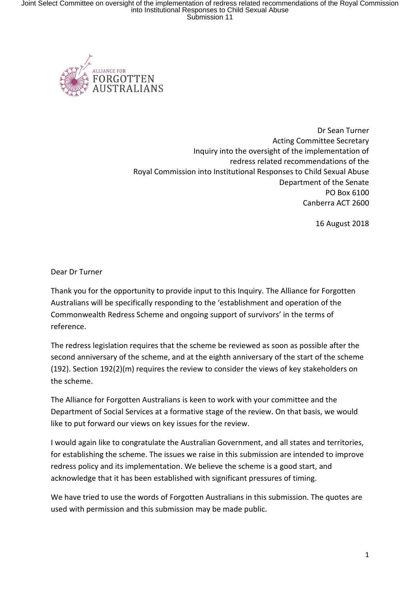

Dr Sean Turner Acting Committee Secretary Inquiry into the oversight of the implementation of redress related recommendations of the Royal Commission into Institutional Responses to Child Sexual Abuse Department of the Senate PO Box 6100 Canberra ACT 2600

16 August 2018

Dear Dr Turner

Thank you for the opportunity to provide input to this Inquiry. The Alliance for Forgotten Australians will be specifically responding to the 'establishment and operation of the Commonwealth Redress Scheme and ongoing support of survivors' in the terms of reference.

The redress legislation requires that the scheme be reviewed as soon as possible after the second anniversary of the scheme, and at the eighth anniversary of the start of the scheme (192). Section 192(2)(m) requires the review to consider the views of key stakeholders on the scheme.

The Alliance for Forgotten Australians is keen to work with your committee and the Department of Social Services at a formative stage of the review. On that basis, we would like to put forward our views on key issues for the review.

I would again like to congratulate the Australian Government, and all states and territories, for establishing the scheme. The issues we raise in this submission are intended to improve redress policy and its implementation. We believe the scheme is a good start, and acknowledge that it has been established with significant pressures of timing.

We have tried to use the words of Forgotten Australians in this submission. The quotes are used with permission and this submission may be made public.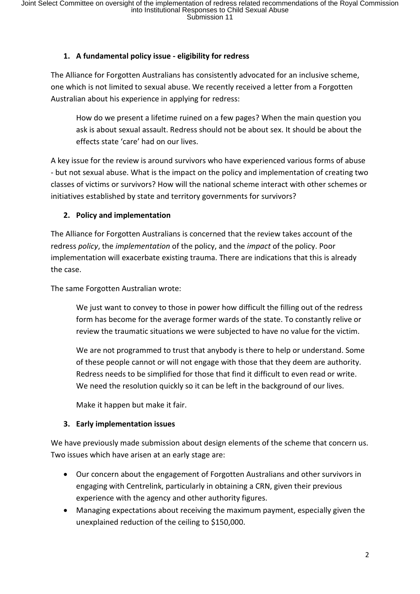# **1. A fundamental policy issue - eligibility for redress**

The Alliance for Forgotten Australians has consistently advocated for an inclusive scheme, one which is not limited to sexual abuse. We recently received a letter from a Forgotten Australian about his experience in applying for redress:

How do we present a lifetime ruined on a few pages? When the main question you ask is about sexual assault. Redress should not be about sex. It should be about the effects state 'care' had on our lives.

A key issue for the review is around survivors who have experienced various forms of abuse - but not sexual abuse. What is the impact on the policy and implementation of creating two classes of victims or survivors? How will the national scheme interact with other schemes or initiatives established by state and territory governments for survivors?

# **2. Policy and implementation**

The Alliance for Forgotten Australians is concerned that the review takes account of the redress *policy*, the *implementation* of the policy, and the *impact* of the policy. Poor implementation will exacerbate existing trauma. There are indications that this is already the case.

The same Forgotten Australian wrote:

We just want to convey to those in power how difficult the filling out of the redress form has become for the average former wards of the state. To constantly relive or review the traumatic situations we were subjected to have no value for the victim.

We are not programmed to trust that anybody is there to help or understand. Some of these people cannot or will not engage with those that they deem are authority. Redress needs to be simplified for those that find it difficult to even read or write. We need the resolution quickly so it can be left in the background of our lives.

Make it happen but make it fair.

# **3. Early implementation issues**

We have previously made submission about design elements of the scheme that concern us. Two issues which have arisen at an early stage are:

- Our concern about the engagement of Forgotten Australians and other survivors in engaging with Centrelink, particularly in obtaining a CRN, given their previous experience with the agency and other authority figures.
- Managing expectations about receiving the maximum payment, especially given the unexplained reduction of the ceiling to \$150,000.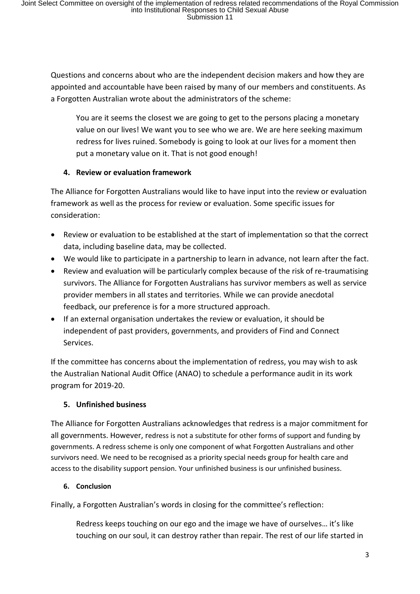Questions and concerns about who are the independent decision makers and how they are appointed and accountable have been raised by many of our members and constituents. As a Forgotten Australian wrote about the administrators of the scheme:

You are it seems the closest we are going to get to the persons placing a monetary value on our lives! We want you to see who we are. We are here seeking maximum redress for lives ruined. Somebody is going to look at our lives for a moment then put a monetary value on it. That is not good enough!

### **4. Review or evaluation framework**

The Alliance for Forgotten Australians would like to have input into the review or evaluation framework as well as the process for review or evaluation. Some specific issues for consideration:

- Review or evaluation to be established at the start of implementation so that the correct data, including baseline data, may be collected.
- We would like to participate in a partnership to learn in advance, not learn after the fact.
- Review and evaluation will be particularly complex because of the risk of re-traumatising survivors. The Alliance for Forgotten Australians has survivor members as well as service provider members in all states and territories. While we can provide anecdotal feedback, our preference is for a more structured approach.
- If an external organisation undertakes the review or evaluation, it should be independent of past providers, governments, and providers of Find and Connect Services.

If the committee has concerns about the implementation of redress, you may wish to ask the Australian National Audit Office (ANAO) to schedule a performance audit in its work program for 2019-20.

# **5. Unfinished business**

The Alliance for Forgotten Australians acknowledges that redress is a major commitment for all governments. However, redress is not a substitute for other forms of support and funding by governments. A redress scheme is only one component of what Forgotten Australians and other survivors need. We need to be recognised as a priority special needs group for health care and access to the disability support pension. Your unfinished business is our unfinished business.

# **6. Conclusion**

Finally, a Forgotten Australian's words in closing for the committee's reflection:

Redress keeps touching on our ego and the image we have of ourselves… it's like touching on our soul, it can destroy rather than repair. The rest of our life started in